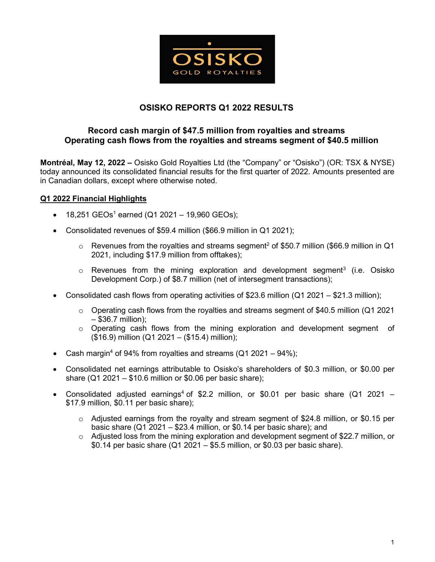

# **OSISKO REPORTS Q1 2022 RESULTS**

## **Record cash margin of \$47.5 million from royalties and streams Operating cash flows from the royalties and streams segment of \$40.5 million**

**Montréal, May 12, 2022 –** Osisko Gold Royalties Ltd (the "Company" or "Osisko") (OR: TSX & NYSE) today announced its consolidated financial results for the first quarter of 2022. Amounts presented are in Canadian dollars, except where otherwise noted.

## **Q1 2022 Financial Highlights**

- 18,251 GEOs<sup>1</sup> earned (Q1 2021 19,960 GEOs);
- Consolidated revenues of \$59.4 million (\$66.9 million in Q1 2021);
	- $\circ$  Revenues from the royalties and streams segment<sup>2</sup> of \$50.7 million (\$66.9 million in Q1 2021, including \$17.9 million from offtakes);
	- $\circ$  Revenues from the mining exploration and development segment<sup>3</sup> (i.e. Osisko Development Corp.) of \$8.7 million (net of intersegment transactions);
- Consolidated cash flows from operating activities of \$23.6 million (Q1 2021 \$21.3 million);
	- $\circ$  Operating cash flows from the royalties and streams segment of \$40.5 million (Q1 2021) – \$36.7 million);
	- $\circ$  Operating cash flows from the mining exploration and development segment of (\$16.9) million (Q1 2021 – (\$15.4) million);
- Cash margin<sup>4</sup> of 94% from royalties and streams  $(Q1 2021 94%)$ ;
- Consolidated net earnings attributable to Osisko's shareholders of \$0.3 million, or \$0.00 per share (Q1 2021 –  $$10.6$  million or  $$0.06$  per basic share);
- Consolidated adjusted earnings<sup>4</sup> of \$2.2 million, or \$0.01 per basic share (Q1 2021 \$17.9 million, \$0.11 per basic share);
	- $\circ$  Adjusted earnings from the royalty and stream segment of \$24.8 million, or \$0.15 per basic share (Q1 2021 – \$23.4 million, or \$0.14 per basic share); and
	- o Adjusted loss from the mining exploration and development segment of \$22.7 million, or \$0.14 per basic share (Q1 2021 – \$5.5 million, or \$0.03 per basic share).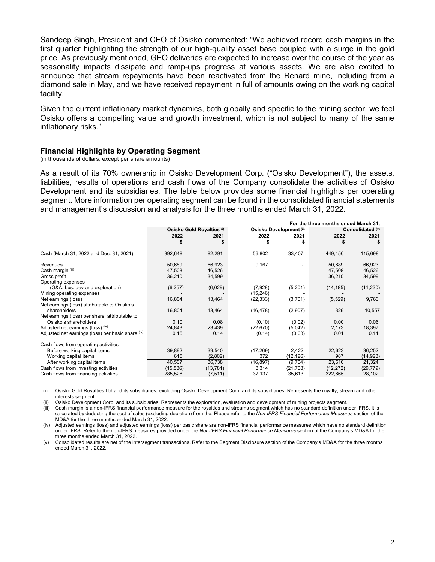Sandeep Singh, President and CEO of Osisko commented: "We achieved record cash margins in the first quarter highlighting the strength of our high-quality asset base coupled with a surge in the gold price. As previously mentioned, GEO deliveries are expected to increase over the course of the year as seasonality impacts dissipate and ramp-ups progress at various assets. We are also excited to announce that stream repayments have been reactivated from the Renard mine, including from a diamond sale in May, and we have received repayment in full of amounts owing on the working capital facility.

Given the current inflationary market dynamics, both globally and specific to the mining sector, we feel Osisko offers a compelling value and growth investment, which is not subject to many of the same inflationary risks."

### **Financial Highlights by Operating Segment**

(in thousands of dollars, except per share amounts)

As a result of its 70% ownership in Osisko Development Corp. ("Osisko Development"), the assets, liabilities, results of operations and cash flows of the Company consolidate the activities of Osisko Development and its subsidiaries. The table below provides some financial highlights per operating segment. More information per operating segment can be found in the consolidated financial statements and management's discussion and analysis for the three months ended March 31, 2022.

|                                                   | For the three months ended March 31, |           |                         |           |                  |           |
|---------------------------------------------------|--------------------------------------|-----------|-------------------------|-----------|------------------|-----------|
|                                                   | Osisko Gold Royalties (i)            |           | Osisko Development (ii) |           | Consolidated (v) |           |
|                                                   | 2022                                 | 2021      | 2022                    | 2021      | 2022             | 2021      |
|                                                   |                                      |           |                         |           |                  |           |
| Cash (March 31, 2022 and Dec. 31, 2021)           | 392,648                              | 82,291    | 56,802                  | 33,407    | 449,450          | 115,698   |
| Revenues                                          | 50,689                               | 66,923    | 9,167                   |           | 50,689           | 66,923    |
| Cash margin (iii)                                 | 47,508                               | 46,526    |                         |           | 47,508           | 46,526    |
| Gross profit                                      | 36,210                               | 34,599    |                         |           | 36,210           | 34,599    |
| Operating expenses                                |                                      |           |                         |           |                  |           |
| (G&A, bus. dev and exploration)                   | (6, 257)                             | (6,029)   | (7,928)                 | (5,201)   | (14, 185)        | (11, 230) |
| Mining operating expenses                         |                                      |           | (15, 246)               |           |                  |           |
| Net earnings (loss)                               | 16,804                               | 13,464    | (22, 333)               | (3,701)   | (5, 529)         | 9,763     |
| Net earnings (loss) attributable to Osisko's      |                                      |           |                         |           |                  |           |
| shareholders                                      | 16,804                               | 13,464    | (16, 478)               | (2,907)   | 326              | 10,557    |
| Net earnings (loss) per share attributable to     |                                      |           |                         |           |                  |           |
| Osisko's shareholders                             | 0.10                                 | 0.08      | (0.10)                  | (0.02)    | 0.00             | 0.06      |
| Adjusted net earnings (loss) (iv)                 | 24,843                               | 23,439    | (22, 670)               | (5,042)   | 2,173            | 18,397    |
| Adjusted net earnings (loss) per basic share (iv) | 0.15                                 | 0.14      | (0.14)                  | (0.03)    | 0.01             | 0.11      |
| Cash flows from operating activities              |                                      |           |                         |           |                  |           |
| Before working capital items                      | 39,892                               | 39,540    | (17, 269)               | 2,422     | 22,623           | 36,252    |
| Working capital items                             | 615                                  | (2,802)   | 372                     | (12, 126) | 987              | (14,928)  |
| After working capital items                       | 40,507                               | 36,738    | (16, 897)               | (9,704)   | 23,610           | 21,324    |
| Cash flows from investing activities              | (15, 586)                            | (13, 781) | 3,314                   | (21,708)  | (12, 272)        | (29, 779) |
| Cash flows from financing activities              | 285,528                              | (7, 511)  | 37,137                  | 35,613    | 322,665          | 28,102    |

(i) Osisko Gold Royalties Ltd and its subsidiaries, excluding Osisko Development Corp. and its subsidiaries. Represents the royalty, stream and other interests segment.

(ii) Osisko Development Corp. and its subsidiaries. Represents the exploration, evaluation and development of mining projects segment.

(iii) Cash margin is a non-IFRS financial performance measure for the royalties and streams segment which has no standard definition under IFRS. It is calculated by deducting the cost of sales (excluding depletion) from the. Please refer to the *Non-IFRS Financial Performance Measures* section of the MD&A for the three months ended March 31, 2022.

(iv) Adjusted earnings (loss) and adjusted earnings (loss) per basic share are non-IFRS financial performance measures which have no standard definition under IFRS. Refer to the non-IFRS measures provided under the *Non-IFRS Financial Performance Measures* section of the Company's MD&A for the three months ended March 31, 2022.

(v) Consolidated results are net of the intersegment transactions. Refer to the Segment Disclosure section of the Company's MD&A for the three months ended March 31, 2022.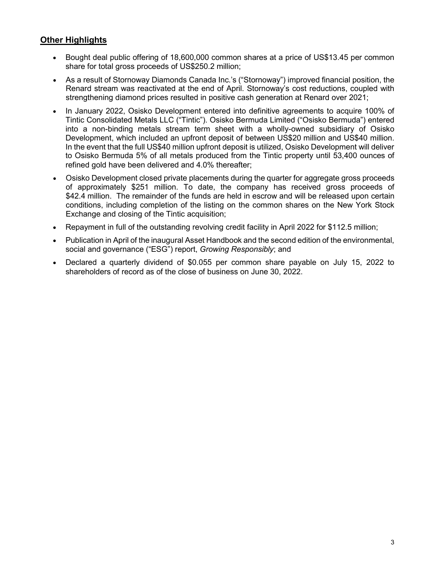# **Other Highlights**

- Bought deal public offering of 18,600,000 common shares at a price of US\$13.45 per common share for total gross proceeds of US\$250.2 million;
- As a result of Stornoway Diamonds Canada Inc.'s ("Stornoway") improved financial position, the Renard stream was reactivated at the end of April. Stornoway's cost reductions, coupled with strengthening diamond prices resulted in positive cash generation at Renard over 2021;
- In January 2022, Osisko Development entered into definitive agreements to acquire 100% of Tintic Consolidated Metals LLC ("Tintic"). Osisko Bermuda Limited ("Osisko Bermuda") entered into a non-binding metals stream term sheet with a wholly-owned subsidiary of Osisko Development, which included an upfront deposit of between US\$20 million and US\$40 million. In the event that the full US\$40 million upfront deposit is utilized, Osisko Development will deliver to Osisko Bermuda 5% of all metals produced from the Tintic property until 53,400 ounces of refined gold have been delivered and 4.0% thereafter;
- Osisko Development closed private placements during the quarter for aggregate gross proceeds of approximately \$251 million. To date, the company has received gross proceeds of \$42.4 million. The remainder of the funds are held in escrow and will be released upon certain conditions, including completion of the listing on the common shares on the New York Stock Exchange and closing of the Tintic acquisition;
- Repayment in full of the outstanding revolving credit facility in April 2022 for \$112.5 million;
- Publication in April of the inaugural Asset Handbook and the second edition of the environmental, social and governance ("ESG") report, *Growing Responsibly*; and
- Declared a quarterly dividend of \$0.055 per common share payable on July 15, 2022 to shareholders of record as of the close of business on June 30, 2022.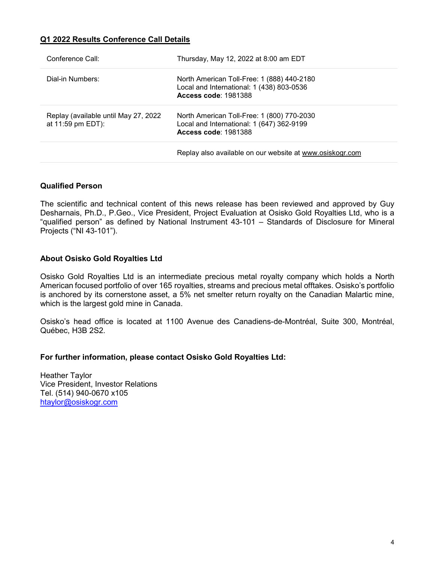## **Q1 2022 Results Conference Call Details**

| Conference Call:                                          | Thursday, May 12, 2022 at 8:00 am EDT                                                                                  |
|-----------------------------------------------------------|------------------------------------------------------------------------------------------------------------------------|
| Dial-in Numbers:                                          | North American Toll-Free: 1 (888) 440-2180<br>Local and International: 1 (438) 803-0536<br><b>Access code: 1981388</b> |
| Replay (available until May 27, 2022<br>at 11:59 pm EDT): | North American Toll-Free: 1 (800) 770-2030<br>Local and International: 1 (647) 362-9199<br><b>Access code: 1981388</b> |
|                                                           | Replay also available on our website at www.osiskogr.com                                                               |

## **Qualified Person**

The scientific and technical content of this news release has been reviewed and approved by Guy Desharnais, Ph.D., P.Geo., Vice President, Project Evaluation at Osisko Gold Royalties Ltd, who is a "qualified person" as defined by National Instrument 43-101 – Standards of Disclosure for Mineral Projects ("NI 43-101").

## **About Osisko Gold Royalties Ltd**

Osisko Gold Royalties Ltd is an intermediate precious metal royalty company which holds a North American focused portfolio of over 165 royalties, streams and precious metal offtakes. Osisko's portfolio is anchored by its cornerstone asset, a 5% net smelter return royalty on the Canadian Malartic mine, which is the largest gold mine in Canada.

Osisko's head office is located at 1100 Avenue des Canadiens-de-Montréal, Suite 300, Montréal, Québec, H3B 2S2.

## **For further information, please contact Osisko Gold Royalties Ltd:**

Heather Taylor Vice President, Investor Relations Tel. (514) 940-0670 x105 [htaylor@osiskogr.com](mailto:ssingh@osiskogr.com)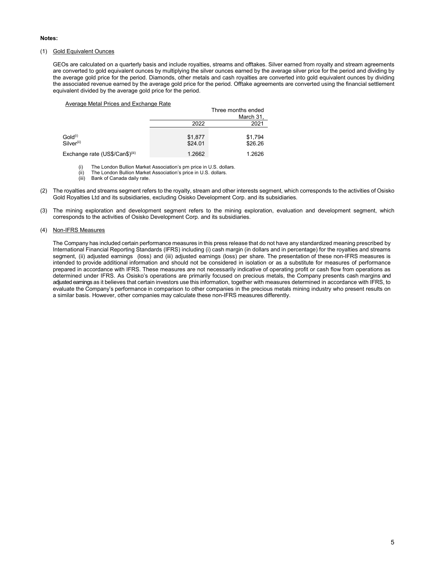#### **Notes:**

### (1) Gold Equivalent Ounces

GEOs are calculated on a quarterly basis and include royalties, streams and offtakes. Silver earned from royalty and stream agreements are converted to gold equivalent ounces by multiplying the silver ounces earned by the average silver price for the period and dividing by the average gold price for the period. Diamonds, other metals and cash royalties are converted into gold equivalent ounces by dividing the associated revenue earned by the average gold price for the period. Offtake agreements are converted using the financial settlement equivalent divided by the average gold price for the period.

#### Average Metal Prices and Exchange Rate

|                                               |                    | Three months ended<br>March 31, |
|-----------------------------------------------|--------------------|---------------------------------|
|                                               | 2022               | 2021                            |
| Gold <sup>(i)</sup><br>Silver <sup>(ii)</sup> | \$1,877<br>\$24.01 | \$1,794<br>\$26.26              |
| Exchange rate (US\$/Can\$) <sup>(iii)</sup>   | 1.2662             | 1.2626                          |

(i) The London Bullion Market Association's pm price in U.S. dollars.

(ii) The London Bullion Market Association's price in U.S. dollars.<br>(iii) Bank of Canada daily rate

Bank of Canada daily rate.

- (2) The royalties and streams segment refers to the royalty, stream and other interests segment, which corresponds to the activities of Osisko Gold Royalties Ltd and its subsidiaries, excluding Osisko Development Corp. and its subsidiaries.
- (3) The mining exploration and development segment refers to the mining exploration, evaluation and development segment, which corresponds to the activities of Osisko Development Corp. and its subsidiaries.

#### (4) Non-IFRS Measures

The Company has included certain performance measures in this press release that do not have any standardized meaning prescribed by International Financial Reporting Standards (IFRS) including (i) cash margin (in dollars and in percentage) for the royalties and streams segment, (ii) adjusted earnings (loss) and (iii) adjusted earnings (loss) per share. The presentation of these non-IFRS measures is intended to provide additional information and should not be considered in isolation or as a substitute for measures of performance prepared in accordance with IFRS. These measures are not necessarily indicative of operating profit or cash flow from operations as determined under IFRS. As Osisko's operations are primarily focused on precious metals, the Company presents cash margins and adjusted earnings as it believes that certain investors use this information, together with measures determined in accordance with IFRS, to evaluate the Company's performance in comparison to other companies in the precious metals mining industry who present results on a similar basis. However, other companies may calculate these non-IFRS measures differently.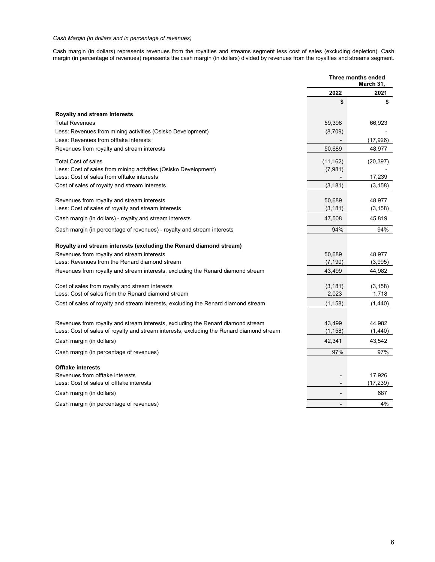### *Cash Margin (in dollars and in percentage of revenues)*

Cash margin (in dollars) represents revenues from the royalties and streams segment less cost of sales (excluding depletion). Cash margin (in percentage of revenues) represents the cash margin (in dollars) divided by revenues from the royalties and streams segment.

|                                                                                                                                                                             | Three months ended<br>March 31, |                   |
|-----------------------------------------------------------------------------------------------------------------------------------------------------------------------------|---------------------------------|-------------------|
|                                                                                                                                                                             | 2022                            | 2021              |
|                                                                                                                                                                             | \$                              | \$                |
| Royalty and stream interests                                                                                                                                                |                                 |                   |
| <b>Total Revenues</b>                                                                                                                                                       | 59,398                          | 66,923            |
| Less: Revenues from mining activities (Osisko Development)                                                                                                                  | (8,709)                         |                   |
| Less: Revenues from offtake interests                                                                                                                                       |                                 | (17, 926)         |
| Revenues from royalty and stream interests                                                                                                                                  | 50,689                          | 48,977            |
| <b>Total Cost of sales</b>                                                                                                                                                  | (11, 162)                       | (20, 397)         |
| Less: Cost of sales from mining activities (Osisko Development)                                                                                                             | (7,981)                         |                   |
| Less: Cost of sales from offtake interests                                                                                                                                  |                                 | 17,239            |
| Cost of sales of royalty and stream interests                                                                                                                               | (3, 181)                        | (3, 158)          |
| Revenues from royalty and stream interests                                                                                                                                  | 50,689                          | 48,977            |
| Less: Cost of sales of royalty and stream interests                                                                                                                         | (3, 181)                        | (3, 158)          |
| Cash margin (in dollars) - royalty and stream interests                                                                                                                     | 47,508                          | 45,819            |
| Cash margin (in percentage of revenues) - royalty and stream interests                                                                                                      | 94%                             | 94%               |
| Royalty and stream interests (excluding the Renard diamond stream)                                                                                                          |                                 |                   |
| Revenues from royalty and stream interests                                                                                                                                  | 50,689                          | 48,977            |
| Less: Revenues from the Renard diamond stream                                                                                                                               | (7, 190)                        | (3,995)           |
| Revenues from royalty and stream interests, excluding the Renard diamond stream                                                                                             | 43,499                          | 44,982            |
| Cost of sales from royalty and stream interests                                                                                                                             | (3, 181)                        | (3, 158)          |
| Less: Cost of sales from the Renard diamond stream                                                                                                                          | 2,023                           | 1,718             |
| Cost of sales of royalty and stream interests, excluding the Renard diamond stream                                                                                          | (1, 158)                        | (1,440)           |
|                                                                                                                                                                             |                                 |                   |
| Revenues from royalty and stream interests, excluding the Renard diamond stream<br>Less: Cost of sales of royalty and stream interests, excluding the Renard diamond stream | 43,499<br>(1, 158)              | 44,982<br>(1,440) |
| Cash margin (in dollars)                                                                                                                                                    | 42,341                          | 43,542            |
| Cash margin (in percentage of revenues)                                                                                                                                     | 97%                             | 97%               |
| <b>Offtake interests</b>                                                                                                                                                    |                                 |                   |
| Revenues from offtake interests                                                                                                                                             |                                 | 17,926            |
| Less: Cost of sales of offtake interests                                                                                                                                    |                                 | (17, 239)         |
| Cash margin (in dollars)                                                                                                                                                    | $\overline{a}$                  | 687               |
| Cash margin (in percentage of revenues)                                                                                                                                     | $\blacksquare$                  | 4%                |
|                                                                                                                                                                             |                                 |                   |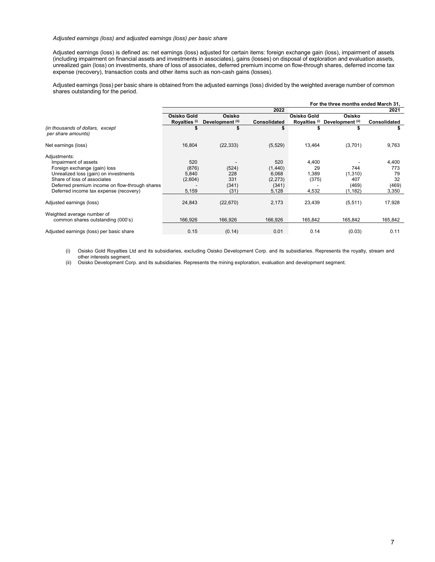#### *Adjusted earnings (loss) and adjusted earnings (loss) per basic share*

Adjusted earnings (loss) is defined as: net earnings (loss) adjusted for certain items: foreign exchange gain (loss), impairment of assets (including impairment on financial assets and investments in associates), gains (losses) on disposal of exploration and evaluation assets, unrealized gain (loss) on investments, share of loss of associates, deferred premium income on flow-through shares, deferred income tax expense (recovery), transaction costs and other items such as non-cash gains (losses).

Adjusted earnings (loss) per basic share is obtained from the adjusted earnings (loss) divided by the weighted average number of common shares outstanding for the period.

|                                                                                          | For the three months ended March 31, |                  |                     |                          |                   |                     |
|------------------------------------------------------------------------------------------|--------------------------------------|------------------|---------------------|--------------------------|-------------------|---------------------|
|                                                                                          |                                      |                  | 2022                |                          |                   | 2021                |
|                                                                                          | Osisko Gold                          | Osisko           |                     | Osisko Gold              | Osisko            |                     |
|                                                                                          | Royalties <sup>(i)</sup>             | Development (ii) | <b>Consolidated</b> | Royalties <sup>(i)</sup> | Development (ii)  | <b>Consolidated</b> |
| (in thousands of dollars, except<br>per share amounts)                                   |                                      |                  |                     |                          |                   |                     |
| Net earnings (loss)                                                                      | 16,804                               | (22, 333)        | (5, 529)            | 13,464                   | (3,701)           | 9,763               |
| Adjustments:<br>Impairment of assets<br>Foreign exchange (gain) loss                     | 520<br>(876)                         | (524)            | 520<br>(1,440)      | 4,400<br>29              | 744               | 4,400<br>773        |
| Unrealized loss (gain) on investments<br>Share of loss of associates                     | 5,840<br>(2,604)                     | 228<br>331       | 6,068<br>(2, 273)   | 1,389<br>(375)           | (1,310)<br>407    | 79<br>32            |
| Deferred premium income on flow-through shares<br>Deferred income tax expense (recovery) | 5,159                                | (341)<br>(31)    | (341)<br>5,128      | 4,532                    | (469)<br>(1, 182) | (469)<br>3,350      |
| Adjusted earnings (loss)                                                                 | 24,843                               | (22, 670)        | 2,173               | 23,439                   | (5, 511)          | 17,928              |
| Weighted average number of<br>common shares outstanding (000's)                          | 166,926                              | 166.926          | 166,926             | 165,842                  | 165,842           | 165,842             |
| Adjusted earnings (loss) per basic share                                                 | 0.15                                 | (0.14)           | 0.01                | 0.14                     | (0.03)            | 0.11                |

(i) Osisko Gold Royalties Ltd and its subsidiaries, excluding Osisko Development Corp. and its subsidiaries. Represents the royalty, stream and other interests segment.

(ii) Osisko Development Corp. and its subsidiaries. Represents the mining exploration, evaluation and development segment.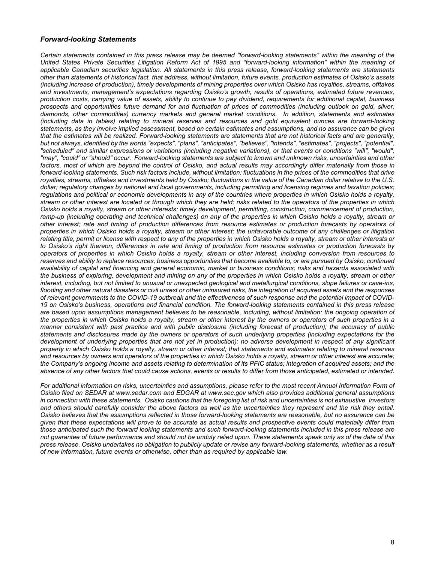### *Forward-looking Statements*

*Certain statements contained in this press release may be deemed "forward-looking statements" within the meaning of the United States Private Securities Litigation Reform Act of 1995 and "forward-looking information" within the meaning of applicable Canadian securities legislation. All statements in this press release, forward-looking statements are statements other than statements of historical fact, that address, without limitation, future events, production estimates of Osisko's assets (including increase of production), timely developments of mining properties over which Osisko has royalties, streams, offtakes and investments, management's expectations regarding Osisko's growth, results of operations, estimated future revenues, production costs, carrying value of assets, ability to continue to pay dividend, requirements for additional capital, business prospects and opportunities future demand for and fluctuation of prices of commodities (including outlook on gold, silver, diamonds, other commodities) currency markets and general market conditions. In addition, statements and estimates (including data in tables) relating to mineral reserves and resources and gold equivalent ounces are forward-looking statements, as they involve implied assessment, based on certain estimates and assumptions, and no assurance can be given that the estimates will be realized. Forward-looking statements are statements that are not historical facts and are generally, but not always, identified by the words "expects", "plans", "anticipates", "believes", "intends", "estimates", "projects", "potential", "scheduled" and similar expressions or variations (including negative variations), or that events or conditions "will", "would", "may", "could" or "should" occur. Forward-looking statements are subject to known and unknown risks, uncertainties and other*  factors, most of which are beyond the control of Osisko, and actual results may accordingly differ materially from those in *forward-looking statements. Such risk factors include, without limitation: fluctuations in the prices of the commodities that drive royalties, streams, offtakes and investments held by Osisko; fluctuations in the value of the Canadian dollar relative to the U.S. dollar; regulatory changes by national and local governments, including permitting and licensing regimes and taxation policies; regulations and political or economic developments in any of the countries where properties in which Osisko holds a royalty, stream or other interest are located or through which they are held; risks related to the operators of the properties in which Osisko holds a royalty, stream or other interests; timely development, permitting, construction, commencement of production, ramp-up (including operating and technical challenges) on any of the properties in which Osisko holds a royalty, stream or other interest; rate and timing of production differences from resource estimates or production forecasts by operators of properties in which Osisko holds a royalty, stream or other interest; the unfavorable outcome of any challenges or litigation relating title, permit or license with respect to any of the properties in which Osisko holds a royalty, stream or other interests or to Osisko's right thereon; differences in rate and timing of production from resource estimates or production forecasts by operators of properties in which Osisko holds a royalty, stream or other interest, including conversion from resources to reserves and ability to replace resources; business opportunities that become available to, or are pursued by Osisko; continued availability of capital and financing and general economic, market or business conditions; risks and hazards associated with the business of exploring, development and mining on any of the properties in which Osisko holds a royalty, stream or other interest, including, but not limited to unusual or unexpected geological and metallurgical conditions, slope failures or cave-ins, flooding and other natural disasters or civil unrest or other uninsured risks, the integration of acquired assets and the responses of relevant governments to the COVID-19 outbreak and the effectiveness of such response and the potential impact of COVID-19 on Osisko's business, operations and financial condition. The forward-looking statements contained in this press release are based upon assumptions management believes to be reasonable, including, without limitation: the ongoing operation of the properties in which Osisko holds a royalty, stream or other interest by the owners or operators of such properties in a manner consistent with past practice and with public disclosure (including forecast of production); the accuracy of public statements and disclosures made by the owners or operators of such underlying properties (including expectations for the development of underlying properties that are not yet in production); no adverse development in respect of any significant property in which Osisko holds a royalty, stream or other interest; that statements and estimates relating to mineral reserves and resources by owners and operators of the properties in which Osisko holds a royalty, stream or other interest are accurate; the Company's ongoing income and assets relating to determination of its PFIC status; integration of acquired assets; and the absence of any other factors that could cause actions, events or results to differ from those anticipated, estimated or intended.*

*For additional information on risks, uncertainties and assumptions, please refer to the most recent Annual Information Form of Osisko filed on SEDAR at www.sedar.com and EDGAR at www.sec.gov which also provides additional general assumptions in connection with these statements. Osisko cautions that the foregoing list of risk and uncertainties is not exhaustive. Investors and others should carefully consider the above factors as well as the uncertainties they represent and the risk they entail. Osisko believes that the assumptions reflected in those forward-looking statements are reasonable, but no assurance can be given that these expectations will prove to be accurate as actual results and prospective events could materially differ from those anticipated such the forward looking statements and such forward-looking statements included in this press release are not guarantee of future performance and should not be unduly relied upon. These statements speak only as of the date of this press release. Osisko undertakes no obligation to publicly update or revise any forward-looking statements, whether as a result of new information, future events or otherwise, other than as required by applicable law.*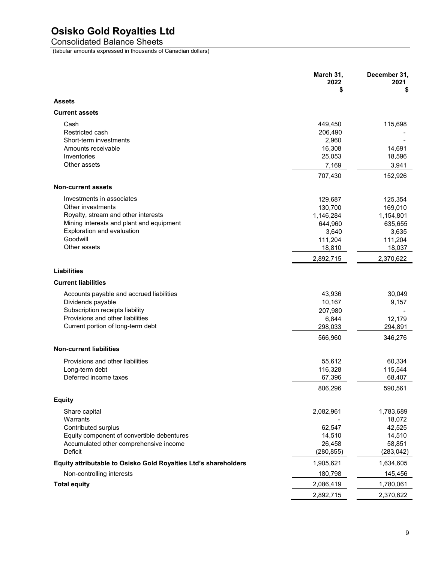# **Osisko Gold Royalties Ltd**

Consolidated Balance Sheets

(tabular amounts expressed in thousands of Canadian dollars)

|                                                                 | March 31,<br>2022 | December 31,<br>2021 |
|-----------------------------------------------------------------|-------------------|----------------------|
|                                                                 | \$                | \$                   |
| <b>Assets</b>                                                   |                   |                      |
| <b>Current assets</b>                                           |                   |                      |
| Cash                                                            | 449,450           | 115,698              |
| Restricted cash                                                 | 206,490           |                      |
| Short-term investments                                          | 2,960             |                      |
| Amounts receivable                                              | 16,308            | 14,691               |
| Inventories                                                     | 25,053            | 18,596               |
| Other assets                                                    | 7,169             | 3,941                |
|                                                                 | 707,430           | 152,926              |
| <b>Non-current assets</b>                                       |                   |                      |
| Investments in associates                                       | 129,687           | 125,354              |
| Other investments                                               | 130,700           | 169,010              |
| Royalty, stream and other interests                             | 1,146,284         | 1,154,801            |
| Mining interests and plant and equipment                        | 644,960           | 635,655              |
| Exploration and evaluation                                      | 3,640             | 3,635                |
| Goodwill                                                        | 111,204           | 111,204              |
| Other assets                                                    | 18,810            | 18,037               |
|                                                                 | 2,892,715         | 2,370,622            |
| <b>Liabilities</b>                                              |                   |                      |
| <b>Current liabilities</b>                                      |                   |                      |
| Accounts payable and accrued liabilities                        | 43,936            | 30,049               |
| Dividends payable                                               | 10,167            | 9,157                |
| Subscription receipts liability                                 | 207,980           |                      |
| Provisions and other liabilities                                | 6,844             | 12,179               |
| Current portion of long-term debt                               | 298,033           | 294,891              |
|                                                                 | 566,960           | 346,276              |
| <b>Non-current liabilities</b>                                  |                   |                      |
| Provisions and other liabilities                                | 55,612            | 60,334               |
| Long-term debt                                                  | 116,328           | 115,544              |
| Deferred income taxes                                           | 67,396            | 68,407               |
|                                                                 | 806,296           | 590,561              |
| <b>Equity</b>                                                   |                   |                      |
| Share capital                                                   | 2,082,961         | 1,783,689            |
| Warrants                                                        |                   | 18,072               |
| Contributed surplus                                             | 62,547            | 42,525               |
| Equity component of convertible debentures                      | 14,510            | 14,510               |
| Accumulated other comprehensive income                          | 26,458            | 58,851               |
| Deficit                                                         | (280, 855)        | (283, 042)           |
| Equity attributable to Osisko Gold Royalties Ltd's shareholders | 1,905,621         | 1,634,605            |
| Non-controlling interests                                       | 180,798           | 145,456              |
| <b>Total equity</b>                                             | 2,086,419         | 1,780,061            |
|                                                                 | 2,892,715         | 2,370,622            |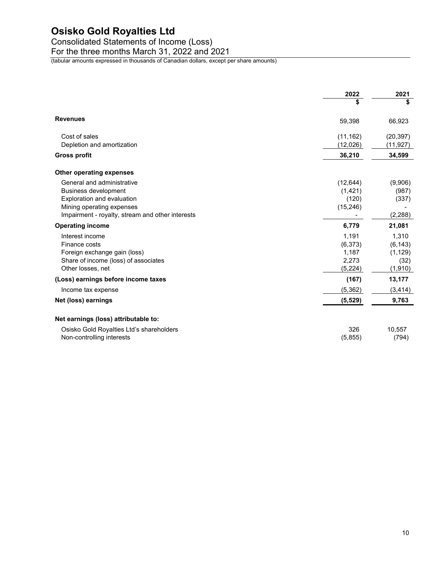# **Osisko Gold Royalties Ltd**

Consolidated Statements of Income (Loss)

For the three months March 31, 2022 and 2021

(tabular amounts expressed in thousands of Canadian dollars, except per share amounts)

|                                                                                                                                                                          | 2022                                          | 2021                                             |
|--------------------------------------------------------------------------------------------------------------------------------------------------------------------------|-----------------------------------------------|--------------------------------------------------|
|                                                                                                                                                                          | \$                                            | \$                                               |
| <b>Revenues</b>                                                                                                                                                          | 59,398                                        | 66,923                                           |
| Cost of sales                                                                                                                                                            | (11, 162)                                     | (20, 397)                                        |
| Depletion and amortization<br>Gross profit                                                                                                                               | (12,026)<br>36,210                            | (11, 927)<br>34,599                              |
| <b>Other operating expenses</b>                                                                                                                                          |                                               |                                                  |
| General and administrative<br><b>Business development</b><br>Exploration and evaluation<br>Mining operating expenses<br>Impairment - royalty, stream and other interests | (12, 644)<br>(1, 421)<br>(120)<br>(15, 246)   | (9,906)<br>(987)<br>(337)<br>(2, 288)            |
| <b>Operating income</b>                                                                                                                                                  | 6,779                                         | 21,081                                           |
| Interest income<br>Finance costs<br>Foreign exchange gain (loss)<br>Share of income (loss) of associates<br>Other losses, net                                            | 1,191<br>(6,373)<br>1,187<br>2,273<br>(5,224) | 1,310<br>(6, 143)<br>(1, 129)<br>(32)<br>(1,910) |
| (Loss) earnings before income taxes                                                                                                                                      | (167)                                         | 13,177                                           |
| Income tax expense                                                                                                                                                       | (5, 362)                                      | (3, 414)                                         |
| Net (loss) earnings                                                                                                                                                      | (5, 529)                                      | 9,763                                            |
| Net earnings (loss) attributable to:                                                                                                                                     |                                               |                                                  |
| Osisko Gold Royalties Ltd's shareholders<br>Non-controlling interests                                                                                                    | 326<br>(5,855)                                | 10,557<br>(794)                                  |